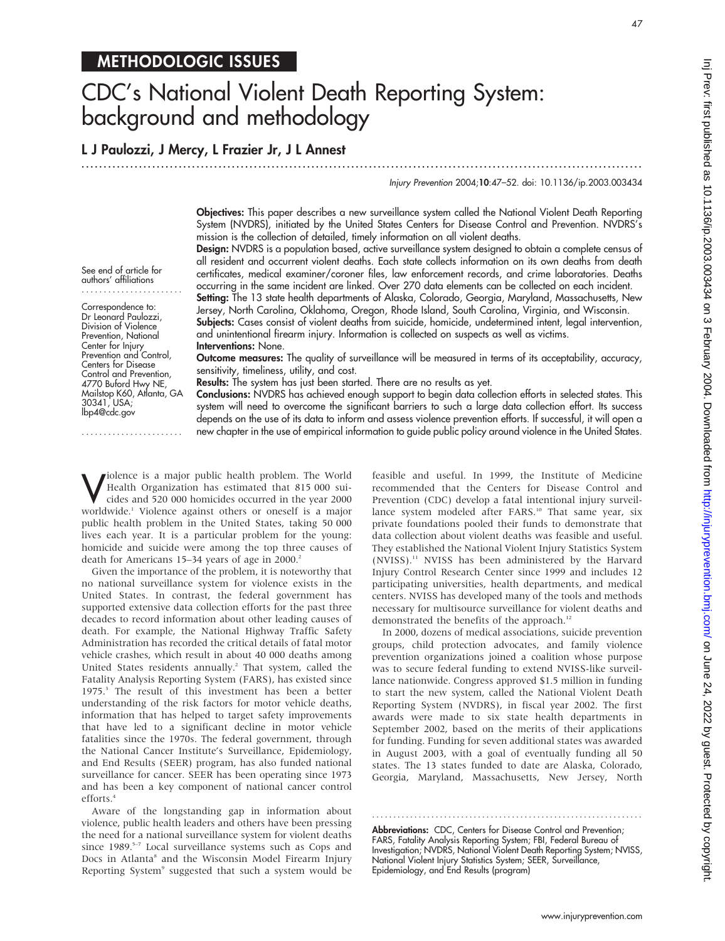# METHODOLOGIC ISSUES

# CDC's National Violent Death Reporting System: background and methodology

# L J Paulozzi, J Mercy, L Frazier Jr, J L Annest

.............................................................................................................................. .

Injury Prevention 2004;10:47–52. doi: 10.1136/ip.2003.003434

47

Objectives: This paper describes a new surveillance system called the National Violent Death Reporting System (NVDRS), initiated by the United States Centers for Disease Control and Prevention. NVDRS's mission is the collection of detailed, timely information on all violent deaths.

Design: NVDRS is a population based, active surveillance system designed to obtain a complete census of all resident and occurrent violent deaths. Each state collects information on its own deaths from death certificates, medical examiner/coroner files, law enforcement records, and crime laboratories. Deaths occurring in the same incident are linked. Over 270 data elements can be collected on each incident.

Setting: The 13 state health departments of Alaska, Colorado, Georgia, Maryland, Massachusetts, New Jersey, North Carolina, Oklahoma, Oregon, Rhode Island, South Carolina, Virginia, and Wisconsin.

Subjects: Cases consist of violent deaths from suicide, homicide, undetermined intent, legal intervention, and unintentional firearm injury. Information is collected on suspects as well as victims.

Interventions: None.

Outcome measures: The quality of surveillance will be measured in terms of its acceptability, accuracy, sensitivity, timeliness, utility, and cost.

Results: The system has just been started. There are no results as yet.

Conclusions: NVDRS has achieved enough support to begin data collection efforts in selected states. This system will need to overcome the significant barriers to such a large data collection effort. Its success depends on the use of its data to inform and assess violence prevention efforts. If successful, it will open a new chapter in the use of empirical information to guide public policy around violence in the United States.

Violence is a major public health problem. The World<br>Health Organization has estimated that 815 000 sui-<br>cides and 520 000 homicides occurred in the year 2000 Health Organization has estimated that 815 000 suicides and 520 000 homicides occurred in the year 2000 worldwide.1 Violence against others or oneself is a major public health problem in the United States, taking 50 000 lives each year. It is a particular problem for the young: homicide and suicide were among the top three causes of death for Americans 15–34 years of age in 2000.<sup>2</sup>

Given the importance of the problem, it is noteworthy that no national surveillance system for violence exists in the United States. In contrast, the federal government has supported extensive data collection efforts for the past three decades to record information about other leading causes of death. For example, the National Highway Traffic Safety Administration has recorded the critical details of fatal motor vehicle crashes, which result in about 40 000 deaths among United States residents annually.<sup>2</sup> That system, called the Fatality Analysis Reporting System (FARS), has existed since 1975.3 The result of this investment has been a better understanding of the risk factors for motor vehicle deaths, information that has helped to target safety improvements that have led to a significant decline in motor vehicle fatalities since the 1970s. The federal government, through the National Cancer Institute's Surveillance, Epidemiology, and End Results (SEER) program, has also funded national surveillance for cancer. SEER has been operating since 1973 and has been a key component of national cancer control efforts.<sup>4</sup>

Aware of the longstanding gap in information about violence, public health leaders and others have been pressing the need for a national surveillance system for violent deaths since 1989.<sup>5-7</sup> Local surveillance systems such as Cops and Docs in Atlanta<sup>8</sup> and the Wisconsin Model Firearm Injury Reporting System<sup>9</sup> suggested that such a system would be feasible and useful. In 1999, the Institute of Medicine recommended that the Centers for Disease Control and Prevention (CDC) develop a fatal intentional injury surveillance system modeled after FARS.<sup>10</sup> That same year, six private foundations pooled their funds to demonstrate that data collection about violent deaths was feasible and useful. They established the National Violent Injury Statistics System (NVISS).11 NVISS has been administered by the Harvard Injury Control Research Center since 1999 and includes 12 participating universities, health departments, and medical centers. NVISS has developed many of the tools and methods necessary for multisource surveillance for violent deaths and demonstrated the benefits of the approach.<sup>12</sup>

In 2000, dozens of medical associations, suicide prevention groups, child protection advocates, and family violence prevention organizations joined a coalition whose purpose was to secure federal funding to extend NVISS-like surveillance nationwide. Congress approved \$1.5 million in funding to start the new system, called the National Violent Death Reporting System (NVDRS), in fiscal year 2002. The first awards were made to six state health departments in September 2002, based on the merits of their applications for funding. Funding for seven additional states was awarded in August 2003, with a goal of eventually funding all 50 states. The 13 states funded to date are Alaska, Colorado, Georgia, Maryland, Massachusetts, New Jersey, North

Abbreviations: CDC, Centers for Disease Control and Prevention; FARS, Fatality Analysis Reporting System; FBI, Federal Bureau of Investigation; NVDRS, National Violent Death Reporting System; NVISS, National Violent Injury Statistics System; SEER, Surveillance, Epidemiology, and End Results (program)

............................................................... .

See end of article for authors' affiliations .......................

Correspondence to: Dr Leonard Paulozzi, Division of Violence Prevention, National Center for Injury Prevention and Control, Centers for Disease Control and Prevention, 4770 Buford Hwy NE, Mailstop K60, Atlanta, GA 30341, USA; lbp4@cdc.gov

.......................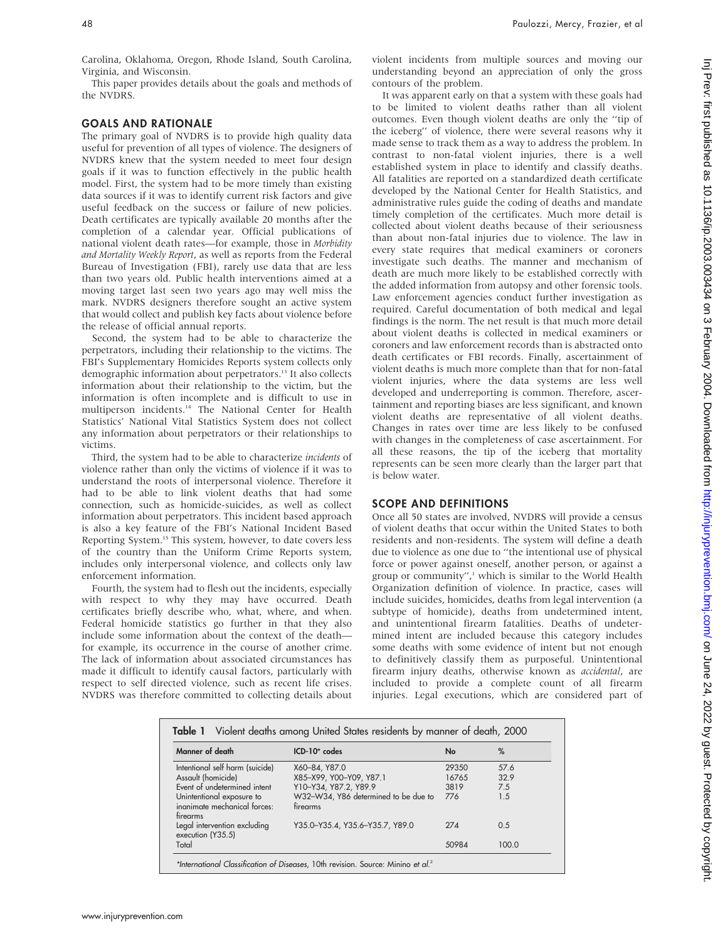Carolina, Oklahoma, Oregon, Rhode Island, South Carolina, Virginia, and Wisconsin.

This paper provides details about the goals and methods of the NVDRS.

#### GOALS AND RATIONALE

The primary goal of NVDRS is to provide high quality data useful for prevention of all types of violence. The designers of NVDRS knew that the system needed to meet four design goals if it was to function effectively in the public health model. First, the system had to be more timely than existing data sources if it was to identify current risk factors and give useful feedback on the success or failure of new policies. Death certificates are typically available 20 months after the completion of a calendar year. Official publications of national violent death rates—for example, those in Morbidity and Mortality Weekly Report, as well as reports from the Federal Bureau of Investigation (FBI), rarely use data that are less than two years old. Public health interventions aimed at a moving target last seen two years ago may well miss the mark. NVDRS designers therefore sought an active system that would collect and publish key facts about violence before the release of official annual reports.

Second, the system had to be able to characterize the perpetrators, including their relationship to the victims. The FBI's Supplementary Homicides Reports system collects only demographic information about perpetrators.13 It also collects information about their relationship to the victim, but the information is often incomplete and is difficult to use in multiperson incidents.14 The National Center for Health Statistics' National Vital Statistics System does not collect any information about perpetrators or their relationships to victims.

Third, the system had to be able to characterize incidents of violence rather than only the victims of violence if it was to understand the roots of interpersonal violence. Therefore it had to be able to link violent deaths that had some connection, such as homicide-suicides, as well as collect information about perpetrators. This incident based approach is also a key feature of the FBI's National Incident Based Reporting System.15 This system, however, to date covers less of the country than the Uniform Crime Reports system, includes only interpersonal violence, and collects only law enforcement information.

Fourth, the system had to flesh out the incidents, especially with respect to why they may have occurred. Death certificates briefly describe who, what, where, and when. Federal homicide statistics go further in that they also include some information about the context of the death for example, its occurrence in the course of another crime. The lack of information about associated circumstances has made it difficult to identify causal factors, particularly with respect to self directed violence, such as recent life crises. NVDRS was therefore committed to collecting details about violent incidents from multiple sources and moving our understanding beyond an appreciation of only the gross contours of the problem.

It was apparent early on that a system with these goals had to be limited to violent deaths rather than all violent outcomes. Even though violent deaths are only the ''tip of the iceberg'' of violence, there were several reasons why it made sense to track them as a way to address the problem. In contrast to non-fatal violent injuries, there is a well established system in place to identify and classify deaths. All fatalities are reported on a standardized death certificate developed by the National Center for Health Statistics, and administrative rules guide the coding of deaths and mandate timely completion of the certificates. Much more detail is collected about violent deaths because of their seriousness than about non-fatal injuries due to violence. The law in every state requires that medical examiners or coroners investigate such deaths. The manner and mechanism of death are much more likely to be established correctly with the added information from autopsy and other forensic tools. Law enforcement agencies conduct further investigation as required. Careful documentation of both medical and legal findings is the norm. The net result is that much more detail about violent deaths is collected in medical examiners or coroners and law enforcement records than is abstracted onto death certificates or FBI records. Finally, ascertainment of violent deaths is much more complete than that for non-fatal violent injuries, where the data systems are less well developed and underreporting is common. Therefore, ascertainment and reporting biases are less significant, and known violent deaths are representative of all violent deaths. Changes in rates over time are less likely to be confused with changes in the completeness of case ascertainment. For all these reasons, the tip of the iceberg that mortality represents can be seen more clearly than the larger part that is below water.

#### SCOPE AND DEFINITIONS

Once all 50 states are involved, NVDRS will provide a census of violent deaths that occur within the United States to both residents and non-residents. The system will define a death due to violence as one due to ''the intentional use of physical force or power against oneself, another person, or against a group or community",<sup>1</sup> which is similar to the World Health Organization definition of violence. In practice, cases will include suicides, homicides, deaths from legal intervention (a subtype of homicide), deaths from undetermined intent, and unintentional firearm fatalities. Deaths of undetermined intent are included because this category includes some deaths with some evidence of intent but not enough to definitively classify them as purposeful. Unintentional firearm injury deaths, otherwise known as accidental, are included to provide a complete count of all firearm injuries. Legal executions, which are considered part of

| Manner of death                                                       | $ICD-10* codes$                                  | No    | %     |
|-----------------------------------------------------------------------|--------------------------------------------------|-------|-------|
| Intentional self harm (suicide)                                       | X60-84, Y87.0                                    | 29350 | 57.6  |
| Assault (homicide)                                                    | X85-X99, Y00-Y09, Y87.1                          | 16765 | 32.9  |
| Event of undetermined intent                                          | Y10-Y34, Y87.2, Y89.9                            | 3819  | 7.5   |
| Unintentional exposure to<br>inanimate mechanical forces:<br>firearms | W32-W34, Y86 determined to be due to<br>firearms | 776   | 1.5   |
| Legal intervention excluding<br>execution (Y35.5)                     | Y35.0-Y35.4, Y35.6-Y35.7, Y89.0                  | 274   | 0.5   |
| Total                                                                 |                                                  | 50984 | 100.0 |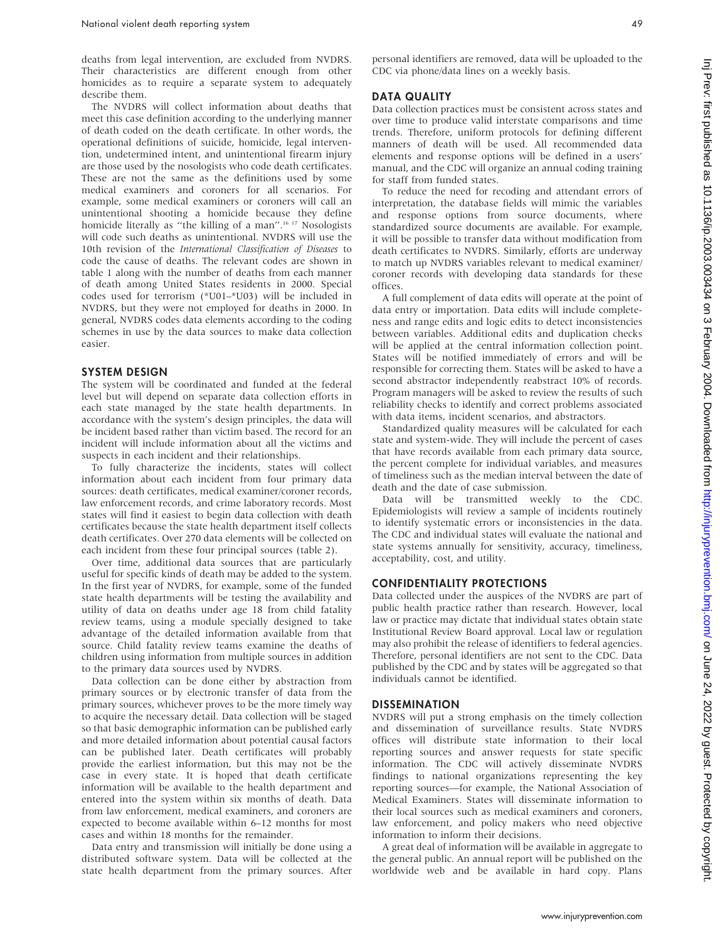deaths from legal intervention, are excluded from NVDRS. Their characteristics are different enough from other homicides as to require a separate system to adequately describe them.

The NVDRS will collect information about deaths that meet this case definition according to the underlying manner of death coded on the death certificate. In other words, the operational definitions of suicide, homicide, legal intervention, undetermined intent, and unintentional firearm injury are those used by the nosologists who code death certificates. These are not the same as the definitions used by some medical examiners and coroners for all scenarios. For example, some medical examiners or coroners will call an unintentional shooting a homicide because they define homicide literally as "the killing of a man".<sup>16 17</sup> Nosologists will code such deaths as unintentional. NVDRS will use the 10th revision of the International Classification of Diseases to code the cause of deaths. The relevant codes are shown in table 1 along with the number of deaths from each manner of death among United States residents in 2000. Special codes used for terrorism (\*U01–\*U03) will be included in NVDRS, but they were not employed for deaths in 2000. In general, NVDRS codes data elements according to the coding schemes in use by the data sources to make data collection easier.

#### SYSTEM DESIGN

The system will be coordinated and funded at the federal level but will depend on separate data collection efforts in each state managed by the state health departments. In accordance with the system's design principles, the data will be incident based rather than victim based. The record for an incident will include information about all the victims and suspects in each incident and their relationships.

To fully characterize the incidents, states will collect information about each incident from four primary data sources: death certificates, medical examiner/coroner records, law enforcement records, and crime laboratory records. Most states will find it easiest to begin data collection with death certificates because the state health department itself collects death certificates. Over 270 data elements will be collected on each incident from these four principal sources (table 2).

Over time, additional data sources that are particularly useful for specific kinds of death may be added to the system. In the first year of NVDRS, for example, some of the funded state health departments will be testing the availability and utility of data on deaths under age 18 from child fatality review teams, using a module specially designed to take advantage of the detailed information available from that source. Child fatality review teams examine the deaths of children using information from multiple sources in addition to the primary data sources used by NVDRS.

Data collection can be done either by abstraction from primary sources or by electronic transfer of data from the primary sources, whichever proves to be the more timely way to acquire the necessary detail. Data collection will be staged so that basic demographic information can be published early and more detailed information about potential causal factors can be published later. Death certificates will probably provide the earliest information, but this may not be the case in every state. It is hoped that death certificate information will be available to the health department and entered into the system within six months of death. Data from law enforcement, medical examiners, and coroners are expected to become available within 6–12 months for most cases and within 18 months for the remainder.

Data entry and transmission will initially be done using a distributed software system. Data will be collected at the state health department from the primary sources. After personal identifiers are removed, data will be uploaded to the CDC via phone/data lines on a weekly basis.

#### DATA QUALITY

Data collection practices must be consistent across states and over time to produce valid interstate comparisons and time trends. Therefore, uniform protocols for defining different manners of death will be used. All recommended data elements and response options will be defined in a users' manual, and the CDC will organize an annual coding training for staff from funded states.

To reduce the need for recoding and attendant errors of interpretation, the database fields will mimic the variables and response options from source documents, where standardized source documents are available. For example, it will be possible to transfer data without modification from death certificates to NVDRS. Similarly, efforts are underway to match up NVDRS variables relevant to medical examiner/ coroner records with developing data standards for these offices.

A full complement of data edits will operate at the point of data entry or importation. Data edits will include completeness and range edits and logic edits to detect inconsistencies between variables. Additional edits and duplication checks will be applied at the central information collection point. States will be notified immediately of errors and will be responsible for correcting them. States will be asked to have a second abstractor independently reabstract 10% of records. Program managers will be asked to review the results of such reliability checks to identify and correct problems associated with data items, incident scenarios, and abstractors.

Standardized quality measures will be calculated for each state and system-wide. They will include the percent of cases that have records available from each primary data source, the percent complete for individual variables, and measures of timeliness such as the median interval between the date of death and the date of case submission.

Data will be transmitted weekly to the CDC. Epidemiologists will review a sample of incidents routinely to identify systematic errors or inconsistencies in the data. The CDC and individual states will evaluate the national and state systems annually for sensitivity, accuracy, timeliness, acceptability, cost, and utility.

#### CONFIDENTIALITY PROTECTIONS

Data collected under the auspices of the NVDRS are part of public health practice rather than research. However, local law or practice may dictate that individual states obtain state Institutional Review Board approval. Local law or regulation may also prohibit the release of identifiers to federal agencies. Therefore, personal identifiers are not sent to the CDC. Data published by the CDC and by states will be aggregated so that individuals cannot be identified.

#### DISSEMINATION

NVDRS will put a strong emphasis on the timely collection and dissemination of surveillance results. State NVDRS offices will distribute state information to their local reporting sources and answer requests for state specific information. The CDC will actively disseminate NVDRS findings to national organizations representing the key reporting sources—for example, the National Association of Medical Examiners. States will disseminate information to their local sources such as medical examiners and coroners, law enforcement, and policy makers who need objective information to inform their decisions.

A great deal of information will be available in aggregate to the general public. An annual report will be published on the worldwide web and be available in hard copy. Plans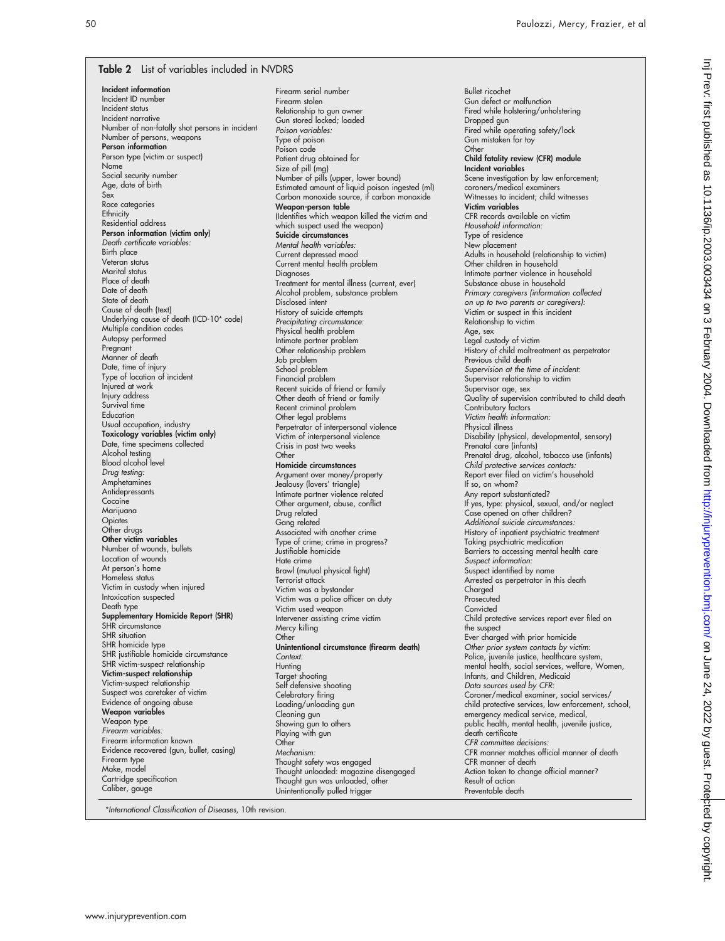#### Table 2 List of variables included in NVDRS

Incident information Incident ID number Incident status Incident narrative Number of non-fatally shot persons in incident Number of persons, weapons Person information Person type (victim or suspect) Name Social security number Age, date of birth Sex Race categories **Ethnicity** Residential address Person information (victim only) Death certificate variables: Birth place Veteran status Marital status Place of death Date of death State of death Cause of death (text) Underlying cause of death (ICD-10\* code) Multiple condition codes Autopsy performed Pregnant Manner of death Date, time of injury Type of location of incident Injured at work Injury address Survival time Education Usual occupation, industry Toxicology variables (victim only) Date, time specimens collected Alcohol testing Blood alcohol level Drug testing: Amphetamines Antidepressants Cocaine Marijuana **Opiates** Other drugs Other victim variables Number of wounds, bullets Location of wounds At person's home Homeless status Victim in custody when injured Intoxication suspected Death type Supplementary Homicide Report (SHR) SHR circumstance SHR situation SHR homicide type SHR justifiable homicide circumstance SHR victim-suspect relationship Victim-suspect relationship Victim-suspect relationship Suspect was caretaker of victim Evidence of ongoing abuse Weapon variables Weapon type Firearm variables: Firearm information known Evidence recovered (gun, bullet, casing) Firearm type Make, model Cartridge specification Caliber, gauge

Firearm serial number Firearm stolen Relationship to gun owner Gun stored locked; loaded Poison variables: Type of poison Poison code Patient drug obtained for Size of pill (mg) Number of pills (upper, lower bound) Estimated amount of liquid poison ingested (ml) Carbon monoxide source, if carbon monoxide Weapon-person table (Identifies which weapon killed the victim and which suspect used the weapon) Suicide circumstances Mental health variables: Current depressed mood Current mental health problem Diagnoses Treatment for mental illness (current, ever) Alcohol problem, substance problem Disclosed intent History of suicide attempts Precipitating circumstance: Physical health problem Intimate partner problem Other relationship problem Job problem School problem Financial problem Recent suicide of friend or family Other death of friend or family Recent criminal problem Other legal problems Perpetrator of interpersonal violence Victim of interpersonal violence Crisis in past two weeks **Other** Homicide circumstances Argument over money/property Jealousy (lovers' triangle) Intimate partner violence related Other argument, abuse, conflict Drug related Gang related Associated with another crime Type of crime; crime in progress? Justifiable homicide Hate crime Brawl (mutual physical fight) Terrorist attack Victim was a bystander Victim was a police officer on duty Victim used weapon Intervener assisting crime victim Mercy killing **Other** Unintentional circumstance (firearm death) Context: **Hunting** Target shooting Self defensive shooting Celebratory firing Loading/unloading gun Cleaning gun Showing gun to others Playing with gun Other Mechanism: Thought safety was engaged Thought unloaded: magazine disengaged Thought gun was unloaded, other Unintentionally pulled trigger

Bullet ricochet Gun defect or malfunction Fired while holstering/unholstering Dropped gun Fired while operating safety/lock Gun mistaken for toy **Other** Child fatality review (CFR) module Incident variables Scene investigation by law enforcement; coroners/medical examiners Witnesses to incident; child witnesses Victim variables CFR records available on victim Household information: Type of residence New placement Adults in household (relationship to victim) Other children in household Intimate partner violence in household Substance abuse in household Primary caregivers (information collected on up to two parents or caregivers): Victim or suspect in this incident Relationship to victim Age, sex Legal custody of victim History of child maltreatment as perpetrator Previous child death Supervision at the time of incident: Supervisor relationship to victim Supervisor age, sex Quality of supervision contributed to child death Contributory factors Victim health information: Physical illness Disability (physical, developmental, sensory) Prenatal care (infants) Prenatal drug, alcohol, tobacco use (infants) Child protective services contacts: Report ever filed on victim's household If so, on whom? Any report substantiated? If yes, type: physical, sexual, and/or neglect Case opened on other children? Additional suicide circumstances: History of inpatient psychiatric treatment Taking psychiatric medication Barriers to accessing mental health care Suspect information: Suspect identified by name Arrested as perpetrator in this death Charaed Prosecuted **Convicted** Child protective services report ever filed on the suspect Ever charged with prior homicide Other prior system contacts by victim: Police, juvenile justice, healthcare system, mental health, social services, welfare, Women, Infants, and Children, Medicaid Data sources used by CFR: Coroner/medical examiner, social services/ child protective services, law enforcement, school, emergency medical service, medical, public health, mental health, juvenile justice, death certificate CFR committee decisions: CFR manner matches official manner of death CFR manner of death Action taken to change official manner? Result of action Preventable death

\*International Classification of Diseases, 10th revision.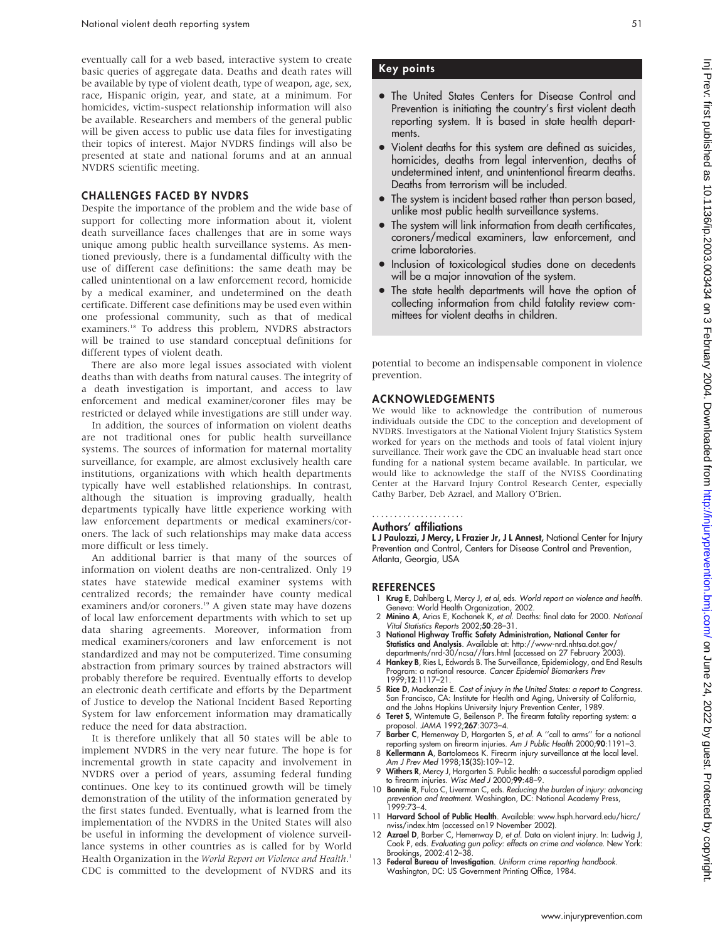eventually call for a web based, interactive system to create basic queries of aggregate data. Deaths and death rates will be available by type of violent death, type of weapon, age, sex, race, Hispanic origin, year, and state, at a minimum. For homicides, victim-suspect relationship information will also be available. Researchers and members of the general public will be given access to public use data files for investigating their topics of interest. Major NVDRS findings will also be presented at state and national forums and at an annual NVDRS scientific meeting.

#### CHALLENGES FACED BY NVDRS

Despite the importance of the problem and the wide base of support for collecting more information about it, violent death surveillance faces challenges that are in some ways unique among public health surveillance systems. As mentioned previously, there is a fundamental difficulty with the use of different case definitions: the same death may be called unintentional on a law enforcement record, homicide by a medical examiner, and undetermined on the death certificate. Different case definitions may be used even within one professional community, such as that of medical examiners.<sup>18</sup> To address this problem, NVDRS abstractors will be trained to use standard conceptual definitions for different types of violent death.

There are also more legal issues associated with violent deaths than with deaths from natural causes. The integrity of a death investigation is important, and access to law enforcement and medical examiner/coroner files may be restricted or delayed while investigations are still under way.

In addition, the sources of information on violent deaths are not traditional ones for public health surveillance systems. The sources of information for maternal mortality surveillance, for example, are almost exclusively health care institutions, organizations with which health departments typically have well established relationships. In contrast, although the situation is improving gradually, health departments typically have little experience working with law enforcement departments or medical examiners/coroners. The lack of such relationships may make data access more difficult or less timely.

An additional barrier is that many of the sources of information on violent deaths are non-centralized. Only 19 states have statewide medical examiner systems with centralized records; the remainder have county medical examiners and/or coroners.<sup>19</sup> A given state may have dozens of local law enforcement departments with which to set up data sharing agreements. Moreover, information from medical examiners/coroners and law enforcement is not standardized and may not be computerized. Time consuming abstraction from primary sources by trained abstractors will probably therefore be required. Eventually efforts to develop an electronic death certificate and efforts by the Department of Justice to develop the National Incident Based Reporting System for law enforcement information may dramatically reduce the need for data abstraction.

It is therefore unlikely that all 50 states will be able to implement NVDRS in the very near future. The hope is for incremental growth in state capacity and involvement in NVDRS over a period of years, assuming federal funding continues. One key to its continued growth will be timely demonstration of the utility of the information generated by the first states funded. Eventually, what is learned from the implementation of the NVDRS in the United States will also be useful in informing the development of violence surveillance systems in other countries as is called for by World Health Organization in the World Report on Violence and Health.<sup>1</sup> CDC is committed to the development of NVDRS and its

### Key points

- The United States Centers for Disease Control and Prevention is initiating the country's first violent death reporting system. It is based in state health departments.
- Violent deaths for this system are defined as suicides, homicides, deaths from legal intervention, deaths of undetermined intent, and unintentional firearm deaths. Deaths from terrorism will be included.
- The system is incident based rather than person based, unlike most public health surveillance systems.
- The system will link information from death certificates, coroners/medical examiners, law enforcement, and crime laboratories.
- Inclusion of toxicological studies done on decedents will be a major innovation of the system.
- The state health departments will have the option of collecting information from child fatality review committees for violent deaths in children.

potential to become an indispensable component in violence prevention.

#### ACKNOWLEDGEMENTS

We would like to acknowledge the contribution of numerous individuals outside the CDC to the conception and development of NVDRS. Investigators at the National Violent Injury Statistics System worked for years on the methods and tools of fatal violent injury surveillance. Their work gave the CDC an invaluable head start once funding for a national system became available. In particular, we would like to acknowledge the staff of the NVISS Coordinating Center at the Harvard Injury Control Research Center, especially Cathy Barber, Deb Azrael, and Mallory O'Brien.

## .....................

### Authors' affiliations

L J Paulozzi, J Mercy, L Frazier Jr, J L Annest, National Center for Injury Prevention and Control, Centers for Disease Control and Prevention, Atlanta, Georgia, USA

#### REFERENCES

- 1 Krug E, Dahlberg L, Mercy J, et al, eds. World report on violence and health. Geneva: World Health Organization, 2002.
- 2 Minino A, Arias E, Kochanek K, et al. Deaths: final data for 2000. National Vital Statistics Reports 2002;50:28–31.
- 3 National Highway Traffic Safety Administration, National Center for Statistics and Analysis. Available at: http://www-nrd.nhtsa.dot.gov/ departments/nrd-30/ncsa//fars.html (accessed on 27 February 2003).
- 4 Hankey B, Ries L, Edwards B. The Surveillance, Epidemiology, and End Results Program: a national resource. Cancer Epidemiol Biomarkers Prev 1999;12:1117–21.
- 5 Rice D, Mackenzie E. Cost of injury in the United States: a report to Congress. San Francisco, CA: Institute for Health and Aging, University of California, and the Johns Hopkins University Injury Prevention Center, 1989.
- 6 Teret S, Wintemute G, Beilenson P. The firearm fatality reporting system: a proposal. JAMA 1992;267:3073–4.
- 7 Barber C, Hemenway D, Hargarten S, et al. A ''call to arms'' for a national reporting system on firearm injuries. Am J Public Health 2000;90:1191–3.
- 8 Kellermann A, Bartolomeos K. Firearm injury surveillance at the local level. Am J Prev Med 1998;15(3S):109–12.
- 9 Withers R, Mercy J, Hargarten S. Public health: a successful paradigm applied to firearm injuries. Wisc Med J 2000;99:48–9.
- 10 Bonnie R, Fulco C, Liverman C, eds. Reducing the burden of injury: advancing prevention and treatment. Washington, DC: National Academy Press, 1999:73–4.
- 11 Harvard School of Public Health. Available: www.hsph.harvard.edu/hicrc/ nviss/index.htm (accessed on19 November 2002).
- 12 Azrael D, Barber C, Hemenway D, et al. Data on violent injury. In: Ludwig J, Cook P, eds. Evaluating gun policy: effects on crime and violence. New York: Brookings, 2002:412–38.
- 13 Federal Bureau of Investigation. Uniform crime reporting handbook. Washington, DC: US Government Printing Office, 1984.